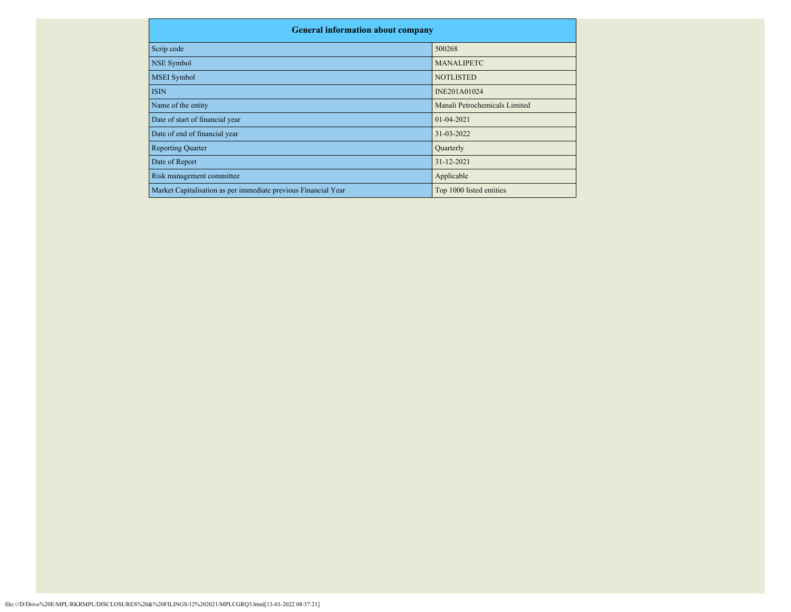|                                                                | <b>General information about company</b> |  |  |  |  |  |  |  |  |
|----------------------------------------------------------------|------------------------------------------|--|--|--|--|--|--|--|--|
| Scrip code                                                     | 500268                                   |  |  |  |  |  |  |  |  |
| NSE Symbol                                                     | <b>MANALIPETC</b>                        |  |  |  |  |  |  |  |  |
| <b>MSEI</b> Symbol                                             | <b>NOTLISTED</b>                         |  |  |  |  |  |  |  |  |
| <b>ISIN</b>                                                    | INE201A01024                             |  |  |  |  |  |  |  |  |
| Name of the entity                                             | Manali Petrochemicals Limited            |  |  |  |  |  |  |  |  |
| Date of start of financial year                                | $01 - 04 - 2021$                         |  |  |  |  |  |  |  |  |
| Date of end of financial year                                  | 31-03-2022                               |  |  |  |  |  |  |  |  |
| <b>Reporting Quarter</b>                                       | Quarterly                                |  |  |  |  |  |  |  |  |
| Date of Report                                                 | 31-12-2021                               |  |  |  |  |  |  |  |  |
| Risk management committee                                      | Applicable                               |  |  |  |  |  |  |  |  |
| Market Capitalisation as per immediate previous Financial Year | Top 1000 listed entities                 |  |  |  |  |  |  |  |  |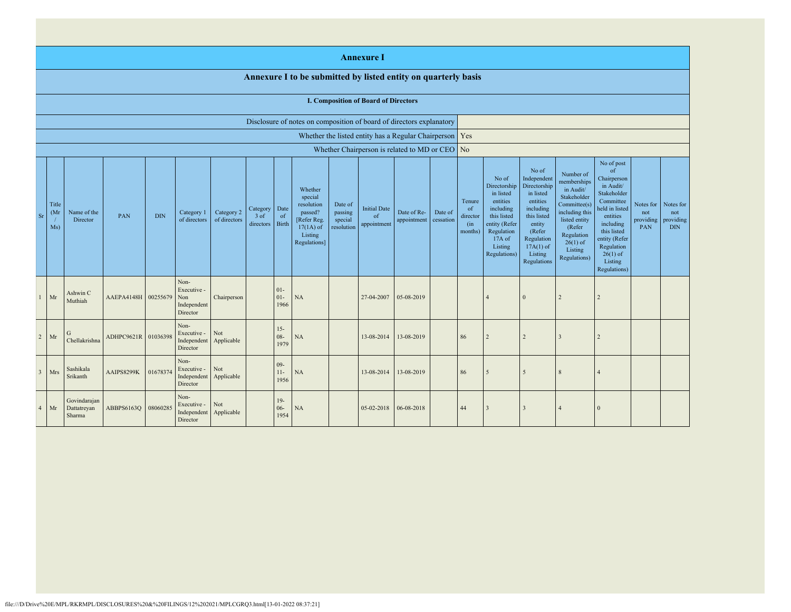|                |                                                                                                                                                                                                                                                                                                                                                                                                                                                            |                                             |                     |          |                                                       |                                                                                                                                                |                                                                                                                                                                      |                                                                                                                                                                          |                                                                                                                                                                                                                       |                                      | <b>Annexure I</b>                           |                                                           |  |                |                |                |               |                |  |  |
|----------------|------------------------------------------------------------------------------------------------------------------------------------------------------------------------------------------------------------------------------------------------------------------------------------------------------------------------------------------------------------------------------------------------------------------------------------------------------------|---------------------------------------------|---------------------|----------|-------------------------------------------------------|------------------------------------------------------------------------------------------------------------------------------------------------|----------------------------------------------------------------------------------------------------------------------------------------------------------------------|--------------------------------------------------------------------------------------------------------------------------------------------------------------------------|-----------------------------------------------------------------------------------------------------------------------------------------------------------------------------------------------------------------------|--------------------------------------|---------------------------------------------|-----------------------------------------------------------|--|----------------|----------------|----------------|---------------|----------------|--|--|
|                |                                                                                                                                                                                                                                                                                                                                                                                                                                                            |                                             |                     |          |                                                       |                                                                                                                                                |                                                                                                                                                                      |                                                                                                                                                                          | Annexure I to be submitted by listed entity on quarterly basis                                                                                                                                                        |                                      |                                             |                                                           |  |                |                |                |               |                |  |  |
|                |                                                                                                                                                                                                                                                                                                                                                                                                                                                            | <b>I. Composition of Board of Directors</b> |                     |          |                                                       |                                                                                                                                                |                                                                                                                                                                      |                                                                                                                                                                          |                                                                                                                                                                                                                       |                                      |                                             |                                                           |  |                |                |                |               |                |  |  |
|                | Disclosure of notes on composition of board of directors explanatory                                                                                                                                                                                                                                                                                                                                                                                       |                                             |                     |          |                                                       |                                                                                                                                                |                                                                                                                                                                      |                                                                                                                                                                          |                                                                                                                                                                                                                       |                                      |                                             |                                                           |  |                |                |                |               |                |  |  |
|                |                                                                                                                                                                                                                                                                                                                                                                                                                                                            |                                             |                     |          |                                                       |                                                                                                                                                |                                                                                                                                                                      |                                                                                                                                                                          |                                                                                                                                                                                                                       |                                      |                                             | Whether the listed entity has a Regular Chairperson   Yes |  |                |                |                |               |                |  |  |
|                |                                                                                                                                                                                                                                                                                                                                                                                                                                                            |                                             |                     |          |                                                       |                                                                                                                                                |                                                                                                                                                                      |                                                                                                                                                                          |                                                                                                                                                                                                                       |                                      |                                             | Whether Chairperson is related to MD or CEO               |  | N <sub>o</sub> |                |                |               |                |  |  |
| Sr             | Whether<br>special<br>Title<br>resolution<br>Date of<br><b>Initial Date</b><br>Date<br>Category<br>Date of Re-<br>(Mr)<br>Name of the<br>Category 2<br>passed?<br>passing<br>Date of<br>Category 1<br>PAN<br><b>DIN</b><br>of<br>$3$ of<br>of<br>of directors<br>of directors<br>[Refer Reg.<br>appointment<br>cessation<br>Director<br>special<br><b>Birth</b><br>directors<br>appointment<br>resolution<br>Ms)<br>$17(1A)$ of<br>Listing<br>Regulations] |                                             |                     |          | Tenure<br>of<br>director<br>(in<br>months)            | No of<br>Directorship<br>in listed<br>entities<br>including<br>this listed<br>entity (Refer<br>Regulation<br>17A of<br>Listing<br>Regulations) | No of<br>Independent<br>Directorship<br>in listed<br>entities<br>including<br>this listed<br>entity<br>(Refer<br>Regulation<br>$17A(1)$ of<br>Listing<br>Regulations | Number of<br>memberships<br>in Audit/<br>Stakeholder<br>Committee(s)<br>including this<br>listed entity<br>(Refer<br>Regulation<br>$26(1)$ of<br>Listing<br>Regulations) | No of post<br><sub>of</sub><br>Chairperson<br>in Audit/<br>Stakeholder<br>Committee<br>held in listed<br>entities<br>including<br>this listed<br>entity (Refer<br>Regulation<br>$26(1)$ of<br>Listing<br>Regulations) | Notes for<br>not<br>providing<br>PAN | Notes for<br>not<br>providing<br><b>DIN</b> |                                                           |  |                |                |                |               |                |  |  |
| $\mathbf{1}$   | Mr                                                                                                                                                                                                                                                                                                                                                                                                                                                         | Ashwin C<br>Muthiah                         | AAEPA4148H 00255679 |          | Non-<br>Executive -<br>Non<br>Independent<br>Director | Chairperson                                                                                                                                    |                                                                                                                                                                      | $01-$<br>$01 -$<br>1966                                                                                                                                                  | NA                                                                                                                                                                                                                    |                                      | 27-04-2007                                  | 05-08-2019                                                |  |                | $\overline{4}$ | $\Omega$       | 2             | $\overline{2}$ |  |  |
| $\overline{c}$ | Mr                                                                                                                                                                                                                                                                                                                                                                                                                                                         | G<br>Chellakrishna                          | ADHPC9621R 01036398 |          | Non-<br>Executive -<br>Independent<br>Director        | Not<br>Applicable                                                                                                                              |                                                                                                                                                                      | $15 -$<br>$08 -$<br>1979                                                                                                                                                 | NA                                                                                                                                                                                                                    |                                      | 13-08-2014                                  | 13-08-2019                                                |  | 86             | $\overline{2}$ | $\overline{2}$ | $\mathcal{R}$ | 2              |  |  |
| $\mathbf{3}$   | Mrs                                                                                                                                                                                                                                                                                                                                                                                                                                                        | Sashikala<br>Srikanth                       | AAIPS8299K          | 01678374 | Non-<br>Executive -<br>Independent<br>Director        | Not<br>Applicable                                                                                                                              |                                                                                                                                                                      | $09 -$<br>$11-$<br>1956                                                                                                                                                  | NA                                                                                                                                                                                                                    |                                      | 13-08-2014                                  | 13-08-2019                                                |  | 86             | 5              | 5              | $\mathbf{R}$  | $\Delta$       |  |  |
| $\overline{4}$ | Mr                                                                                                                                                                                                                                                                                                                                                                                                                                                         | Govindarajan<br>Dattatreyan<br>Sharma       | ABBPS6163Q          | 08060285 | Non-<br>Executive -<br>Independent<br>Director        | Not<br>Applicable                                                                                                                              |                                                                                                                                                                      | $19-$<br>$06 -$<br>1954                                                                                                                                                  | NA                                                                                                                                                                                                                    |                                      | 05-02-2018                                  | 06-08-2018                                                |  | 44             | 3              | $\overline{3}$ |               | $\Omega$       |  |  |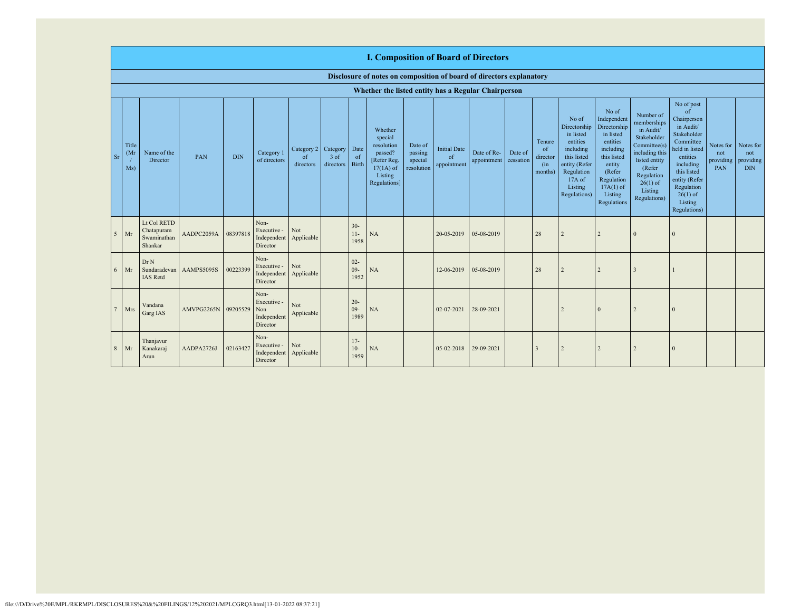|                | <b>I. Composition of Board of Directors</b> |                                                     |            |            |                                                       |                               |                                 |                         |                                                                                                      |                                             |                                          |                            |                      |                                            |                                                                                                                                                  |                                                                                                                                                                      |                                                                                                                                                                           |                                                                                                                                                                                                            |                                      |                                             |
|----------------|---------------------------------------------|-----------------------------------------------------|------------|------------|-------------------------------------------------------|-------------------------------|---------------------------------|-------------------------|------------------------------------------------------------------------------------------------------|---------------------------------------------|------------------------------------------|----------------------------|----------------------|--------------------------------------------|--------------------------------------------------------------------------------------------------------------------------------------------------|----------------------------------------------------------------------------------------------------------------------------------------------------------------------|---------------------------------------------------------------------------------------------------------------------------------------------------------------------------|------------------------------------------------------------------------------------------------------------------------------------------------------------------------------------------------------------|--------------------------------------|---------------------------------------------|
|                |                                             |                                                     |            |            |                                                       |                               |                                 |                         | Disclosure of notes on composition of board of directors explanatory                                 |                                             |                                          |                            |                      |                                            |                                                                                                                                                  |                                                                                                                                                                      |                                                                                                                                                                           |                                                                                                                                                                                                            |                                      |                                             |
|                |                                             |                                                     |            |            |                                                       |                               |                                 |                         | Whether the listed entity has a Regular Chairperson                                                  |                                             |                                          |                            |                      |                                            |                                                                                                                                                  |                                                                                                                                                                      |                                                                                                                                                                           |                                                                                                                                                                                                            |                                      |                                             |
| <b>Sr</b>      | Title<br>(M <sub>I</sub> )<br>Ms)           | Name of the<br>Director                             | PAN        | <b>DIN</b> | Category 1<br>of directors                            | Category 2<br>of<br>directors | Category<br>$3$ of<br>directors | Date<br>of<br>Birth     | Whether<br>special<br>resolution<br>passed?<br>[Refer Reg.<br>$17(1A)$ of<br>Listing<br>Regulations] | Date of<br>passing<br>special<br>resolution | <b>Initial Date</b><br>of<br>appointment | Date of Re-<br>appointment | Date of<br>cessation | Tenure<br>of<br>director<br>(in<br>months) | No of<br>Directorship<br>in listed<br>entities<br>including<br>this listed<br>entity (Refer<br>Regulation<br>$17A$ of<br>Listing<br>Regulations) | No of<br>Independent<br>Directorship<br>in listed<br>entities<br>including<br>this listed<br>entity<br>(Refer<br>Regulation<br>$17A(1)$ of<br>Listing<br>Regulations | Number of<br>memberships<br>in Audit/<br>Stakeholder<br>Committee(s)<br>including this<br>listed entity<br>(Refer)<br>Regulation<br>$26(1)$ of<br>Listing<br>Regulations) | No of post<br>of<br>Chairperson<br>in Audit/<br>Stakeholder<br>Committee<br>held in listed<br>entities<br>including<br>this listed<br>entity (Refer<br>Regulation<br>$26(1)$ of<br>Listing<br>Regulations) | Notes for<br>not<br>providing<br>PAN | Notes for<br>not<br>providing<br><b>DIN</b> |
|                | $5$ Mr                                      | Lt Col RETD<br>Chatapuram<br>Swaminathan<br>Shankar | AADPC2059A | 08397818   | Non-<br>Executive -<br>Independent<br>Director        | Not<br>Applicable             |                                 | $30 -$<br>$11-$<br>1958 | NA                                                                                                   |                                             | 20-05-2019                               | 05-08-2019                 |                      | 28                                         | $\overline{2}$                                                                                                                                   | $\overline{2}$                                                                                                                                                       | $\Omega$                                                                                                                                                                  | $\Omega$                                                                                                                                                                                                   |                                      |                                             |
| 6              | Mr                                          | Dr N<br>Sundaradevan<br><b>IAS</b> Retd             | AAMPS5095S | 00223399   | Non-<br>Executive -<br>Independent<br>Director        | Not<br>Applicable             |                                 | $02 -$<br>$09-$<br>1952 | NA                                                                                                   |                                             | 12-06-2019                               | 05-08-2019                 |                      | 28                                         | $\overline{2}$                                                                                                                                   | $\overline{c}$                                                                                                                                                       | $\overline{3}$                                                                                                                                                            |                                                                                                                                                                                                            |                                      |                                             |
| $\overline{7}$ | Mrs                                         | Vandana<br>Garg IAS                                 | AMVPG2265N | 09205529   | Non-<br>Executive -<br>Non<br>Independent<br>Director | Not<br>Applicable             |                                 | $20 -$<br>$09-$<br>1989 | NA                                                                                                   |                                             | 02-07-2021                               | 28-09-2021                 |                      |                                            | $\mathcal{D}$                                                                                                                                    | $\Omega$                                                                                                                                                             | 2                                                                                                                                                                         | $\Omega$                                                                                                                                                                                                   |                                      |                                             |
| $\mathbf{8}$   | Mr                                          | Thanjavur<br>Kanakaraj<br>Arun                      | AADPA2726J | 02163427   | Non-<br>Executive -<br>Independent<br>Director        | Not<br>Applicable             |                                 | $17 -$<br>$10-$<br>1959 | NA                                                                                                   |                                             | 05-02-2018                               | 29-09-2021                 |                      | $\overline{3}$                             |                                                                                                                                                  | 2                                                                                                                                                                    | 2                                                                                                                                                                         | $\Omega$                                                                                                                                                                                                   |                                      |                                             |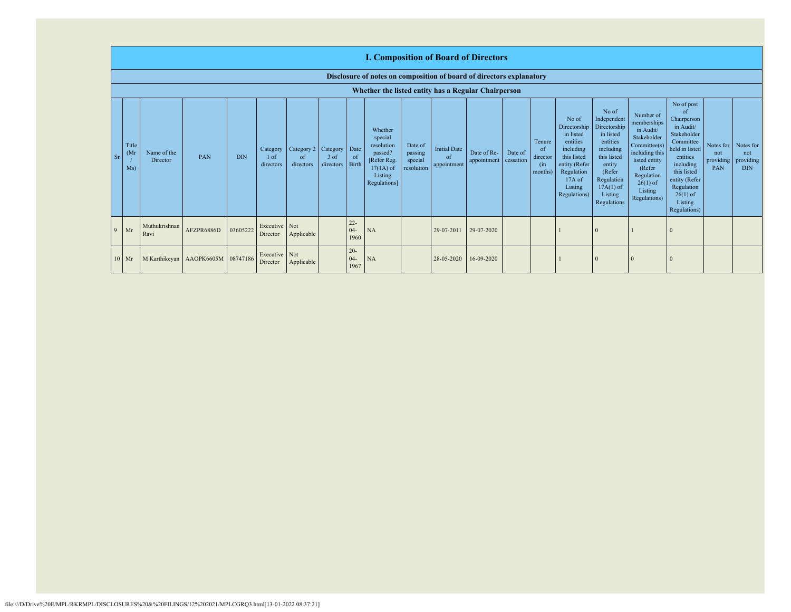|           | <b>I. Composition of Board of Directors</b>                          |                         |                                   |            |                               |                                          |                     |                          |                                                                                                      |                                             |                                          |                                      |         |                                                        |                                                                                                                                                  |                                                                                                                                                                      |                                                                                                                                                                          |                                                                                                                                                                                                                       |                                        |                                             |
|-----------|----------------------------------------------------------------------|-------------------------|-----------------------------------|------------|-------------------------------|------------------------------------------|---------------------|--------------------------|------------------------------------------------------------------------------------------------------|---------------------------------------------|------------------------------------------|--------------------------------------|---------|--------------------------------------------------------|--------------------------------------------------------------------------------------------------------------------------------------------------|----------------------------------------------------------------------------------------------------------------------------------------------------------------------|--------------------------------------------------------------------------------------------------------------------------------------------------------------------------|-----------------------------------------------------------------------------------------------------------------------------------------------------------------------------------------------------------------------|----------------------------------------|---------------------------------------------|
|           | Disclosure of notes on composition of board of directors explanatory |                         |                                   |            |                               |                                          |                     |                          |                                                                                                      |                                             |                                          |                                      |         |                                                        |                                                                                                                                                  |                                                                                                                                                                      |                                                                                                                                                                          |                                                                                                                                                                                                                       |                                        |                                             |
|           |                                                                      |                         |                                   |            |                               |                                          |                     |                          | Whether the listed entity has a Regular Chairperson                                                  |                                             |                                          |                                      |         |                                                        |                                                                                                                                                  |                                                                                                                                                                      |                                                                                                                                                                          |                                                                                                                                                                                                                       |                                        |                                             |
| <b>Sr</b> | Title<br>(M <sub>1</sub> )<br>Ms)                                    | Name of the<br>Director | PAN                               | <b>DIN</b> | Category<br>1 of<br>directors | Category 2   Category<br>of<br>directors | $3$ of<br>directors | Date<br>of<br>Birth      | Whether<br>special<br>resolution<br>passed?<br>[Refer Reg.<br>$17(1A)$ of<br>Listing<br>Regulations] | Date of<br>passing<br>special<br>resolution | <b>Initial Date</b><br>of<br>appointment | Date of Re-<br>appointment cessation | Date of | Tenure<br><sub>of</sub><br>director<br>(in)<br>months) | No of<br>Directorship<br>in listed<br>entities<br>including<br>this listed<br>entity (Refer<br>Regulation<br>$17A$ of<br>Listing<br>Regulations) | No of<br>Independent<br>Directorship<br>in listed<br>entities<br>including<br>this listed<br>entity<br>(Refer<br>Regulation<br>$17A(1)$ of<br>Listing<br>Regulations | Number of<br>memberships<br>in Audit/<br>Stakeholder<br>Committee(s)<br>including this<br>listed entity<br>(Refer<br>Regulation<br>$26(1)$ of<br>Listing<br>Regulations) | No of post<br><sup>of</sup><br>Chairperson<br>in Audit/<br>Stakeholder<br>Committee<br>held in listed<br>entities<br>including<br>this listed<br>entity (Refer<br>Regulation<br>$26(1)$ of<br>Listing<br>Regulations) | Notes for  <br>not<br>providing<br>PAN | Notes for<br>not<br>providing<br><b>DIN</b> |
| Q         | Mr                                                                   | Muthukrishnan<br>Ravi   | AFZPR6886D                        | 03605222   | Executive Not<br>Director     | Applicable                               |                     | $22 -$<br>$04 -$<br>1960 | <b>NA</b>                                                                                            |                                             | 29-07-2011                               | 29-07-2020                           |         |                                                        |                                                                                                                                                  | $\Omega$                                                                                                                                                             |                                                                                                                                                                          |                                                                                                                                                                                                                       |                                        |                                             |
|           | $10$ Mr                                                              |                         | M Karthikeyan AAOPK6605M 08747186 |            | Executive Not<br>Director     | Applicable                               |                     | $20 -$<br>$04 -$<br>1967 | <b>NA</b>                                                                                            |                                             | 28-05-2020                               | 16-09-2020                           |         |                                                        |                                                                                                                                                  | $\Omega$                                                                                                                                                             |                                                                                                                                                                          |                                                                                                                                                                                                                       |                                        |                                             |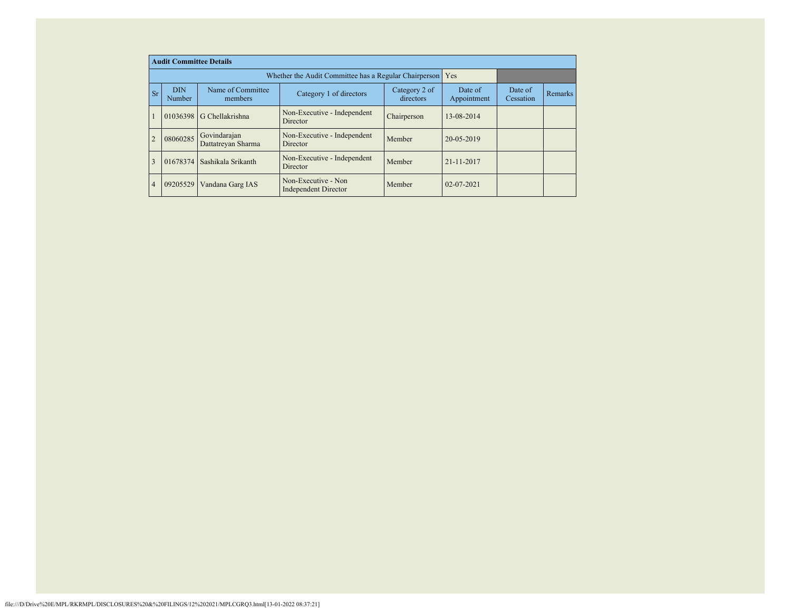| <b>Audit Committee Details</b> |                      |                                    |                                                             |                            |                        |                      |         |  |  |
|--------------------------------|----------------------|------------------------------------|-------------------------------------------------------------|----------------------------|------------------------|----------------------|---------|--|--|
|                                |                      |                                    | Whether the Audit Committee has a Regular Chairperson   Yes |                            |                        |                      |         |  |  |
| Sr                             | <b>DIN</b><br>Number | Name of Committee<br>members       | Category 1 of directors                                     | Category 2 of<br>directors | Date of<br>Appointment | Date of<br>Cessation | Remarks |  |  |
|                                |                      | 01036398 G Chellakrishna           | Non-Executive - Independent<br>Director                     | Chairperson                | 13-08-2014             |                      |         |  |  |
| $\overline{2}$                 | 08060285             | Govindarajan<br>Dattatreyan Sharma | Non-Executive - Independent<br>Director                     | Member                     | 20-05-2019             |                      |         |  |  |
| 3                              |                      | 01678374 Sashikala Srikanth        | Non-Executive - Independent<br>Director                     | Member                     | 21-11-2017             |                      |         |  |  |
| $\overline{4}$                 | 09205529             | Vandana Garg IAS                   | Non-Executive - Non<br><b>Independent Director</b>          | Member                     | $02 - 07 - 2021$       |                      |         |  |  |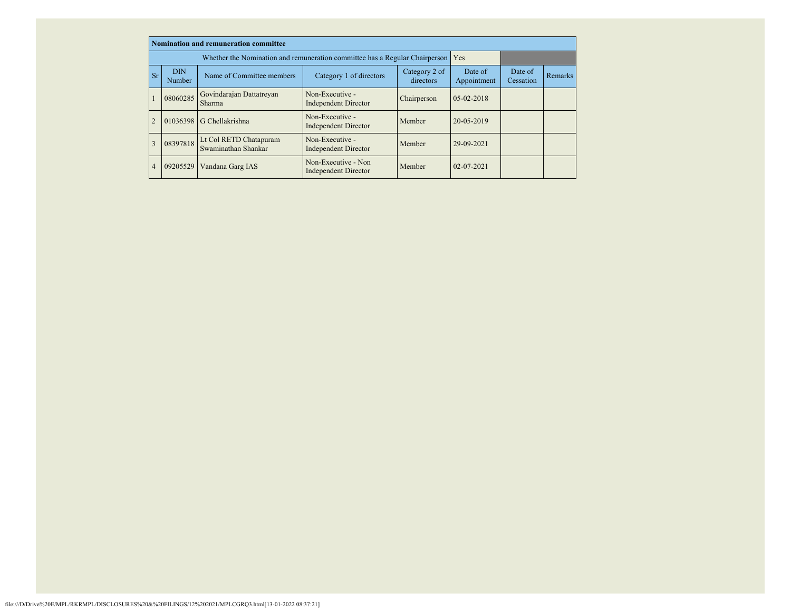| Nomination and remuneration committee |                      |                                                                                 |                                                    |                            |                        |                      |         |  |  |  |
|---------------------------------------|----------------------|---------------------------------------------------------------------------------|----------------------------------------------------|----------------------------|------------------------|----------------------|---------|--|--|--|
|                                       |                      | Whether the Nomination and remuneration committee has a Regular Chairperson Yes |                                                    |                            |                        |                      |         |  |  |  |
| Sr                                    | <b>DIN</b><br>Number | Name of Committee members                                                       | Category 1 of directors                            | Category 2 of<br>directors | Date of<br>Appointment | Date of<br>Cessation | Remarks |  |  |  |
|                                       | 08060285             | Govindarajan Dattatreyan<br>Sharma                                              | Non-Executive -<br><b>Independent Director</b>     | Chairperson                | $05-02-2018$           |                      |         |  |  |  |
|                                       | 01036398             | G Chellakrishna                                                                 | Non-Executive -<br><b>Independent Director</b>     | Member                     | 20-05-2019             |                      |         |  |  |  |
| 3                                     | 08397818             | Lt Col RETD Chatapuram<br>Swaminathan Shankar                                   | Non-Executive -<br><b>Independent Director</b>     | Member                     | 29-09-2021             |                      |         |  |  |  |
| $\overline{4}$                        | 09205529             | Vandana Garg IAS                                                                | Non-Executive - Non<br><b>Independent Director</b> | Member                     | 02-07-2021             |                      |         |  |  |  |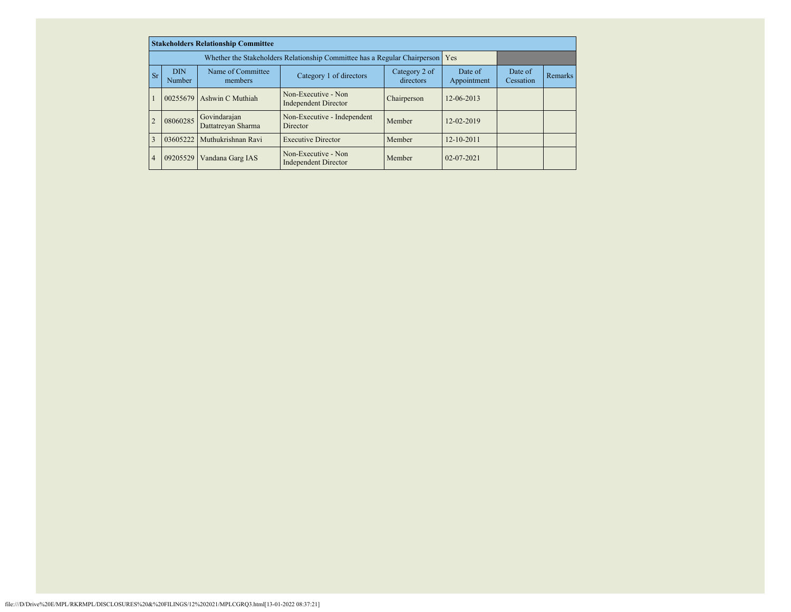|                | <b>Stakeholders Relationship Committee</b> |                                    |                                                                               |                            |                        |                      |                |  |  |  |  |
|----------------|--------------------------------------------|------------------------------------|-------------------------------------------------------------------------------|----------------------------|------------------------|----------------------|----------------|--|--|--|--|
|                |                                            |                                    | Whether the Stakeholders Relationship Committee has a Regular Chairperson Yes |                            |                        |                      |                |  |  |  |  |
| Sr             | <b>DIN</b><br>Number                       | Name of Committee<br>members       | Category 1 of directors                                                       | Category 2 of<br>directors | Date of<br>Appointment | Date of<br>Cessation | <b>Remarks</b> |  |  |  |  |
|                | 00255679                                   | Ashwin C Muthiah                   | Non-Executive - Non<br><b>Independent Director</b>                            | Chairperson                | 12-06-2013             |                      |                |  |  |  |  |
|                | 08060285                                   | Govindarajan<br>Dattatreyan Sharma | Non-Executive - Independent<br>Director                                       | Member                     | 12-02-2019             |                      |                |  |  |  |  |
| 3              | 03605222                                   | Muthukrishnan Ravi                 | <b>Executive Director</b>                                                     | Member                     | $12 - 10 - 2011$       |                      |                |  |  |  |  |
| $\overline{4}$ | 09205529                                   | Vandana Garg IAS                   | Non-Executive - Non<br><b>Independent Director</b>                            | Member                     | $02 - 07 - 2021$       |                      |                |  |  |  |  |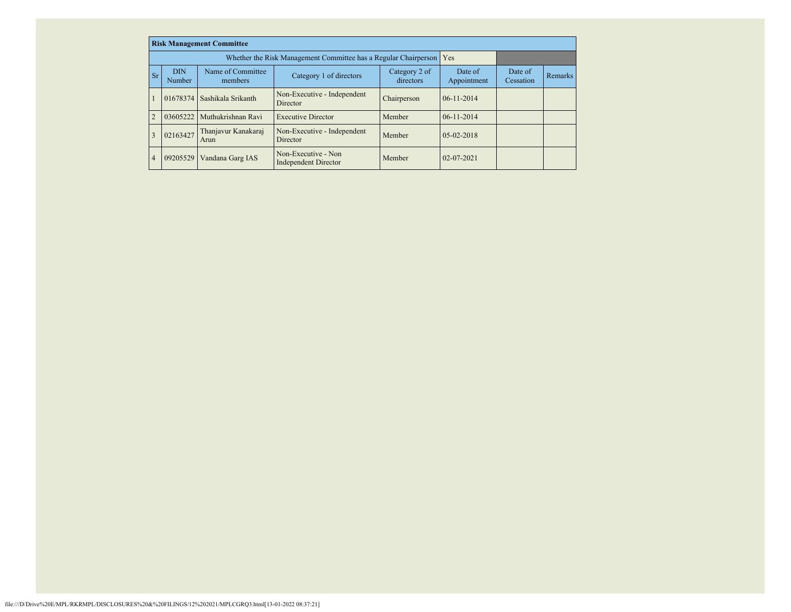|                | <b>Risk Management Committee</b> |                              |                                                                     |                            |                        |                      |                |  |  |  |  |
|----------------|----------------------------------|------------------------------|---------------------------------------------------------------------|----------------------------|------------------------|----------------------|----------------|--|--|--|--|
|                |                                  |                              | Whether the Risk Management Committee has a Regular Chairperson Yes |                            |                        |                      |                |  |  |  |  |
| <b>Sr</b>      | <b>DIN</b><br>Number             | Name of Committee<br>members | Category 1 of directors                                             | Category 2 of<br>directors | Date of<br>Appointment | Date of<br>Cessation | <b>Remarks</b> |  |  |  |  |
|                | 01678374                         | Sashikala Srikanth           | Non-Executive - Independent<br>Director                             | Chairperson                | $06 - 11 - 2014$       |                      |                |  |  |  |  |
| $\overline{2}$ | 03605222                         | Muthukrishnan Ravi           | <b>Executive Director</b>                                           | Member                     | $06 - 11 - 2014$       |                      |                |  |  |  |  |
| 3              | 02163427                         | Thanjavur Kanakaraj<br>Arun  | Non-Executive - Independent<br><b>Director</b>                      | Member                     | $0.5 - 0.2 - 2018$     |                      |                |  |  |  |  |
| 4              | 09205529                         | Vandana Garg IAS             | Non-Executive - Non<br><b>Independent Director</b>                  | Member                     | $02 - 07 - 2021$       |                      |                |  |  |  |  |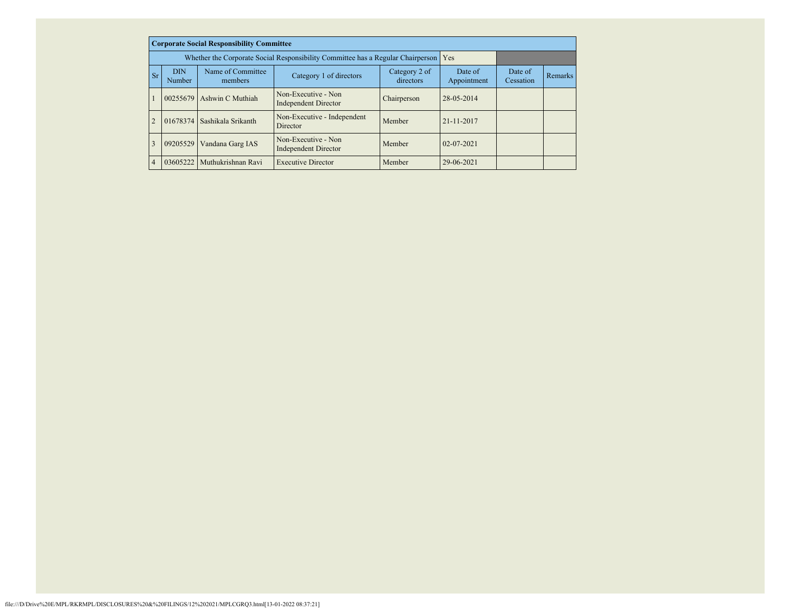|    | <b>Corporate Social Responsibility Committee</b> |                              |                                                                                     |                            |                        |                      |         |  |  |  |  |
|----|--------------------------------------------------|------------------------------|-------------------------------------------------------------------------------------|----------------------------|------------------------|----------------------|---------|--|--|--|--|
|    |                                                  |                              | Whether the Corporate Social Responsibility Committee has a Regular Chairperson Yes |                            |                        |                      |         |  |  |  |  |
| Sr | <b>DIN</b><br><b>Number</b>                      | Name of Committee<br>members | Category 1 of directors                                                             | Category 2 of<br>directors | Date of<br>Appointment | Date of<br>Cessation | Remarks |  |  |  |  |
|    | 00255679                                         | Ashwin C Muthiah             | Non-Executive - Non<br><b>Independent Director</b>                                  | Chairperson                | 28-05-2014             |                      |         |  |  |  |  |
|    | 01678374                                         | Sashikala Srikanth           | Non-Executive - Independent<br>Director                                             | Member                     | 21-11-2017             |                      |         |  |  |  |  |
| 3  | 09205529                                         | Vandana Garg IAS             | Non-Executive - Non<br><b>Independent Director</b>                                  | Member                     | $02 - 07 - 2021$       |                      |         |  |  |  |  |
| 4  | 03605222                                         | Muthukrishnan Ravi           | <b>Executive Director</b>                                                           | Member                     | 29-06-2021             |                      |         |  |  |  |  |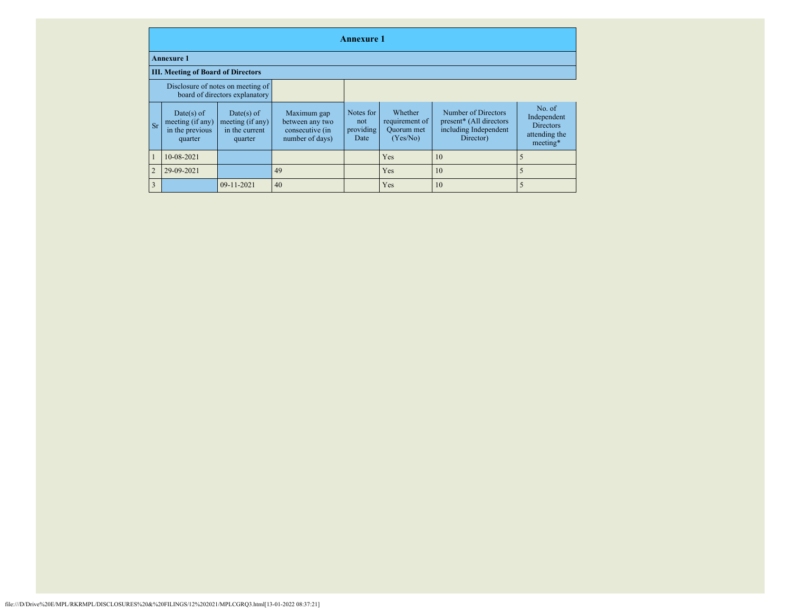|                | <b>Annexure 1</b>                                              |                                                                     |                                                                      |                                       |                                                     |                                                                                                  |                                                                        |  |  |  |  |
|----------------|----------------------------------------------------------------|---------------------------------------------------------------------|----------------------------------------------------------------------|---------------------------------------|-----------------------------------------------------|--------------------------------------------------------------------------------------------------|------------------------------------------------------------------------|--|--|--|--|
|                | <b>Annexure 1</b>                                              |                                                                     |                                                                      |                                       |                                                     |                                                                                                  |                                                                        |  |  |  |  |
|                | <b>III. Meeting of Board of Directors</b>                      |                                                                     |                                                                      |                                       |                                                     |                                                                                                  |                                                                        |  |  |  |  |
|                |                                                                | Disclosure of notes on meeting of<br>board of directors explanatory |                                                                      |                                       |                                                     |                                                                                                  |                                                                        |  |  |  |  |
| <b>Sr</b>      | $Date(s)$ of<br>meeting (if any)<br>in the previous<br>quarter | $Date(s)$ of<br>meeting $(i f any)$<br>in the current<br>quarter    | Maximum gap<br>between any two<br>consecutive (in<br>number of days) | Notes for<br>not<br>providing<br>Date | Whether<br>requirement of<br>Quorum met<br>(Yes/No) | Number of Directors<br>present <sup>*</sup> (All directors<br>including Independent<br>Director) | No. of<br>Independent<br><b>Directors</b><br>attending the<br>meeting* |  |  |  |  |
|                | 10-08-2021                                                     |                                                                     |                                                                      |                                       | <b>Yes</b>                                          | 10                                                                                               |                                                                        |  |  |  |  |
| $\overline{2}$ | 29-09-2021                                                     |                                                                     | 49                                                                   |                                       | <b>Yes</b>                                          | 10                                                                                               |                                                                        |  |  |  |  |
| $\overline{3}$ |                                                                | 09-11-2021                                                          | 40                                                                   |                                       | Yes                                                 | 10                                                                                               |                                                                        |  |  |  |  |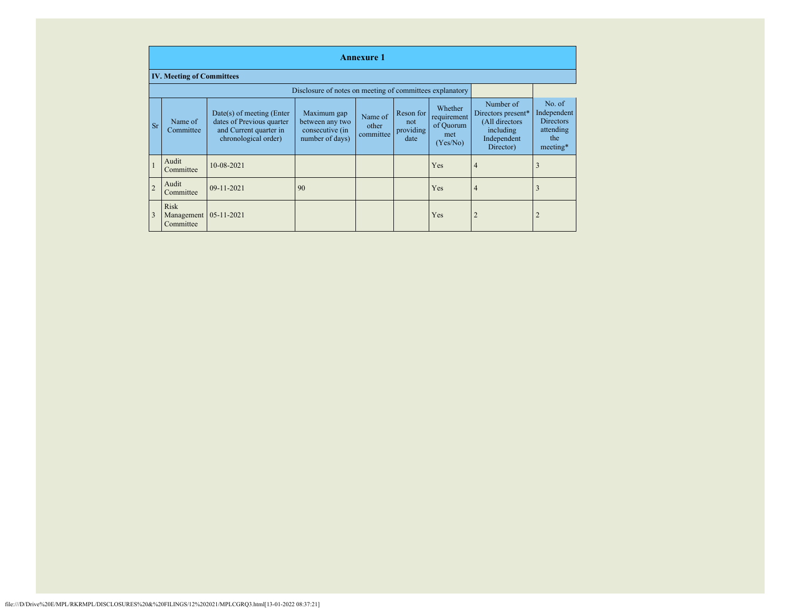|                | <b>Annexure 1</b>                      |                                                                                                            |                                                                      |                               |                                       |                                                        |                                                                                            |                                                                           |  |
|----------------|----------------------------------------|------------------------------------------------------------------------------------------------------------|----------------------------------------------------------------------|-------------------------------|---------------------------------------|--------------------------------------------------------|--------------------------------------------------------------------------------------------|---------------------------------------------------------------------------|--|
|                | <b>IV. Meeting of Committees</b>       |                                                                                                            |                                                                      |                               |                                       |                                                        |                                                                                            |                                                                           |  |
|                |                                        |                                                                                                            | Disclosure of notes on meeting of committees explanatory             |                               |                                       |                                                        |                                                                                            |                                                                           |  |
| <b>Sr</b>      | Name of<br>Committee                   | $Date(s)$ of meeting (Enter<br>dates of Previous quarter<br>and Current quarter in<br>chronological order) | Maximum gap<br>between any two<br>consecutive (in<br>number of days) | Name of<br>other<br>committee | Reson for<br>not<br>providing<br>date | Whether<br>requirement<br>of Quorum<br>met<br>(Yes/No) | Number of<br>Directors present*<br>(All directors<br>including<br>Independent<br>Director) | No. of<br>Independent<br><b>Directors</b><br>attending<br>the<br>meeting* |  |
| 1              | Audit<br>Committee                     | 10-08-2021                                                                                                 |                                                                      |                               |                                       | Yes                                                    | 4                                                                                          | 3                                                                         |  |
| $\overline{2}$ | Audit<br>Committee                     | 09-11-2021                                                                                                 | 90                                                                   |                               |                                       | Yes                                                    | 4                                                                                          | 3                                                                         |  |
|                | <b>Risk</b><br>Management<br>Committee | $05 - 11 - 2021$                                                                                           |                                                                      |                               |                                       | Yes                                                    |                                                                                            | $\overline{2}$                                                            |  |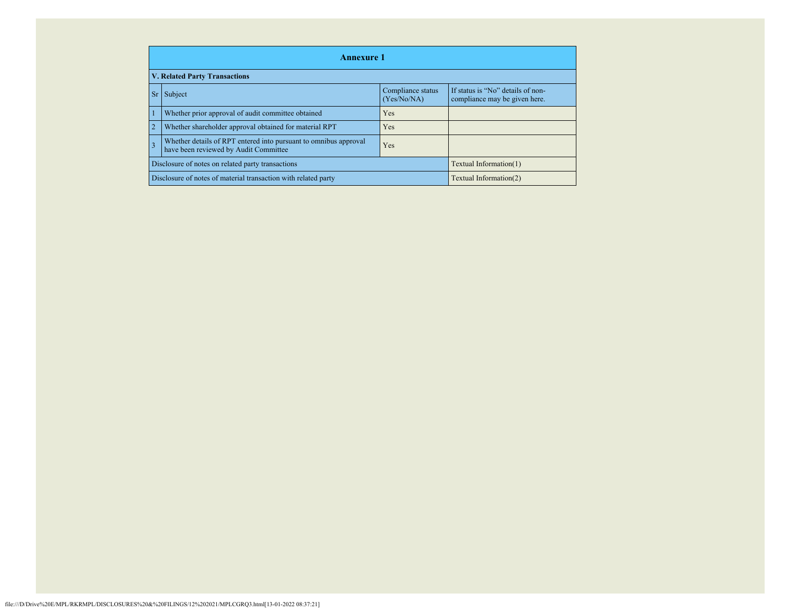| <b>Annexure 1</b>                                                                                                     |                                                        |                                  |                                                                    |  |  |  |  |  |  |
|-----------------------------------------------------------------------------------------------------------------------|--------------------------------------------------------|----------------------------------|--------------------------------------------------------------------|--|--|--|--|--|--|
|                                                                                                                       | <b>V. Related Party Transactions</b>                   |                                  |                                                                    |  |  |  |  |  |  |
| <b>Sr</b>                                                                                                             | Subject                                                | Compliance status<br>(Yes/No/NA) | If status is "No" details of non-<br>compliance may be given here. |  |  |  |  |  |  |
| Whether prior approval of audit committee obtained<br><b>Yes</b>                                                      |                                                        |                                  |                                                                    |  |  |  |  |  |  |
|                                                                                                                       | Whether shareholder approval obtained for material RPT | <b>Yes</b>                       |                                                                    |  |  |  |  |  |  |
| Whether details of RPT entered into pursuant to omnibus approval<br>3<br>Yes<br>have been reviewed by Audit Committee |                                                        |                                  |                                                                    |  |  |  |  |  |  |
| Disclosure of notes on related party transactions<br>Textual Information(1)                                           |                                                        |                                  |                                                                    |  |  |  |  |  |  |
| Disclosure of notes of material transaction with related party<br>Textual Information(2)                              |                                                        |                                  |                                                                    |  |  |  |  |  |  |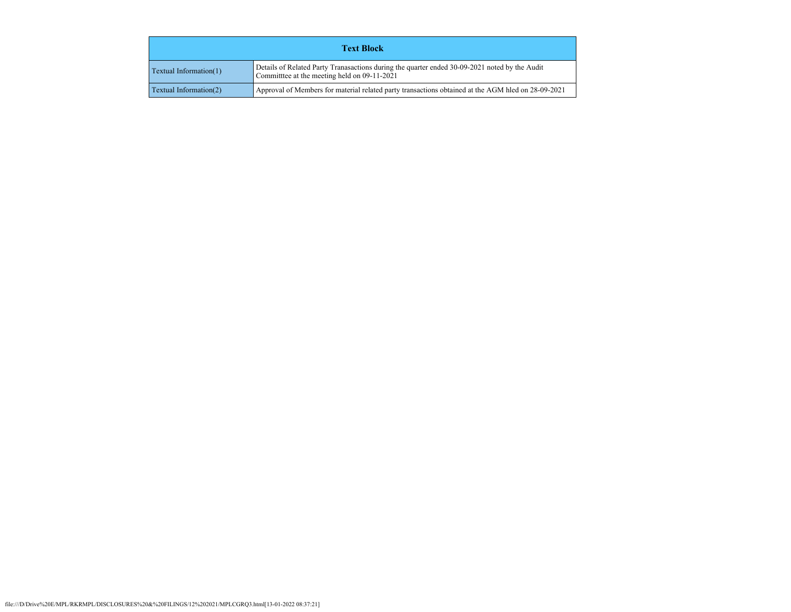| <b>Text Block</b>      |                                                                                                                                              |  |
|------------------------|----------------------------------------------------------------------------------------------------------------------------------------------|--|
| Textual Information(1) | Details of Related Party Tranasactions during the quarter ended 30-09-2021 noted by the Audit<br>Committee at the meeting held on 09-11-2021 |  |
| Textual Information(2) | Approval of Members for material related party transactions obtained at the AGM hled on 28-09-2021                                           |  |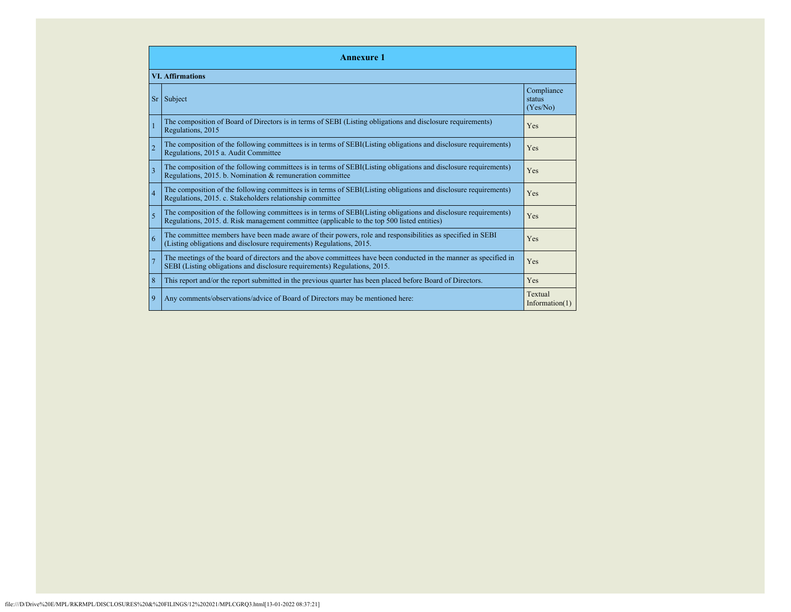| <b>Annexure</b> 1       |                                                                                                                                                                                                                 |                                  |  |  |
|-------------------------|-----------------------------------------------------------------------------------------------------------------------------------------------------------------------------------------------------------------|----------------------------------|--|--|
| <b>VI.</b> Affirmations |                                                                                                                                                                                                                 |                                  |  |  |
| <b>Sr</b>               | Subject                                                                                                                                                                                                         | Compliance<br>status<br>(Yes/No) |  |  |
|                         | The composition of Board of Directors is in terms of SEBI (Listing obligations and disclosure requirements)<br>Regulations, 2015                                                                                | Yes                              |  |  |
| $\overline{2}$          | The composition of the following committees is in terms of SEBI(Listing obligations and disclosure requirements)<br>Regulations, 2015 a. Audit Committee                                                        | Yes                              |  |  |
| $\overline{3}$          | The composition of the following committees is in terms of SEBI(Listing obligations and disclosure requirements)<br>Regulations, 2015. b. Nomination & remuneration committee                                   | Yes                              |  |  |
| $\overline{4}$          | The composition of the following committees is in terms of SEBI(Listing obligations and disclosure requirements)<br>Regulations, 2015. c. Stakeholders relationship committee                                   | Yes                              |  |  |
| $\overline{5}$          | The composition of the following committees is in terms of SEBI(Listing obligations and disclosure requirements)<br>Regulations, 2015. d. Risk management committee (applicable to the top 500 listed entities) | Yes                              |  |  |
| 6                       | The committee members have been made aware of their powers, role and responsibilities as specified in SEBI<br>(Listing obligations and disclosure requirements) Regulations, 2015.                              | Yes                              |  |  |
| $\overline{7}$          | The meetings of the board of directors and the above committees have been conducted in the manner as specified in<br>SEBI (Listing obligations and disclosure requirements) Regulations, 2015.                  | Yes                              |  |  |
| 8                       | This report and/or the report submitted in the previous quarter has been placed before Board of Directors.                                                                                                      | Yes                              |  |  |
| $\overline{9}$          | Any comments/observations/advice of Board of Directors may be mentioned here:                                                                                                                                   | Textual<br>Information $(1)$     |  |  |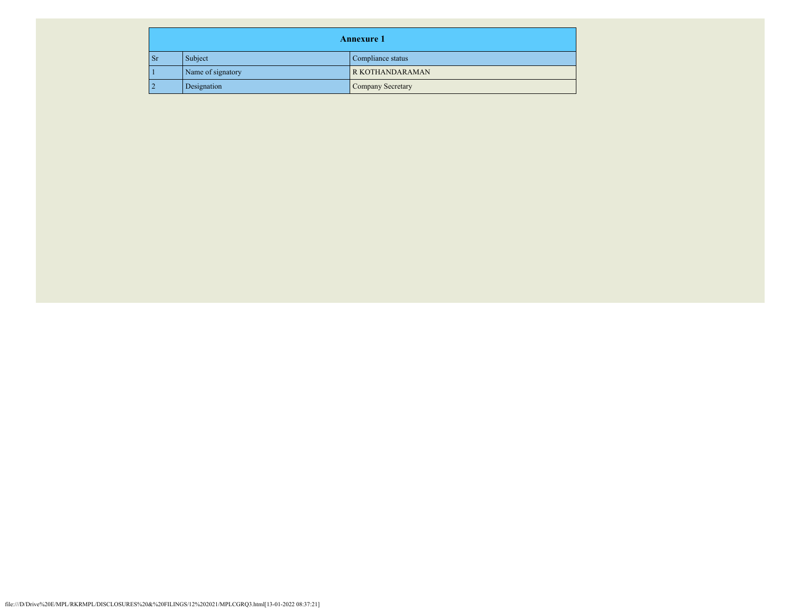|      | <b>Annexure 1</b> |                        |  |
|------|-------------------|------------------------|--|
| - Sr | Subject           | Compliance status      |  |
|      | Name of signatory | <b>R KOTHANDARAMAN</b> |  |
|      | Designation       | Company Secretary      |  |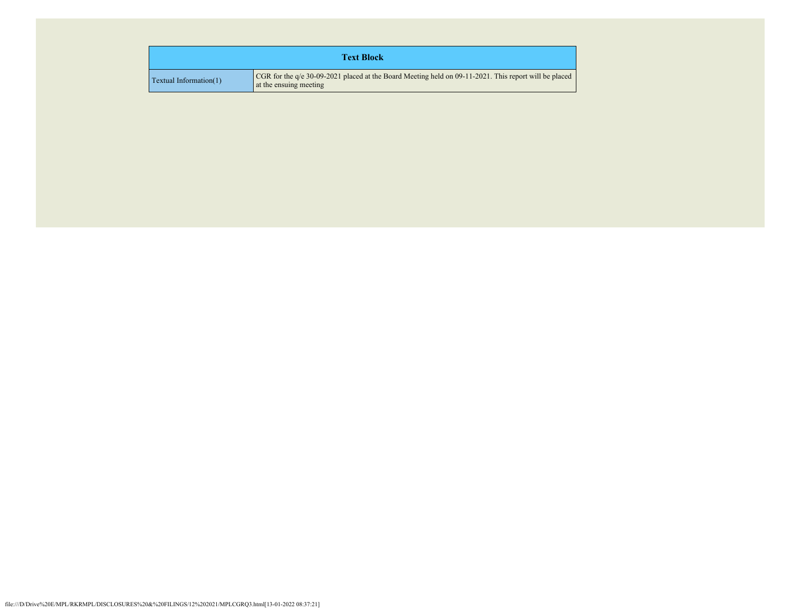| <b>Text Block</b>             |                                                                                                                                 |  |
|-------------------------------|---------------------------------------------------------------------------------------------------------------------------------|--|
| <b>Textual Information(1)</b> | CGR for the q/e 30-09-2021 placed at the Board Meeting held on 09-11-2021. This report will be placed<br>at the ensuing meeting |  |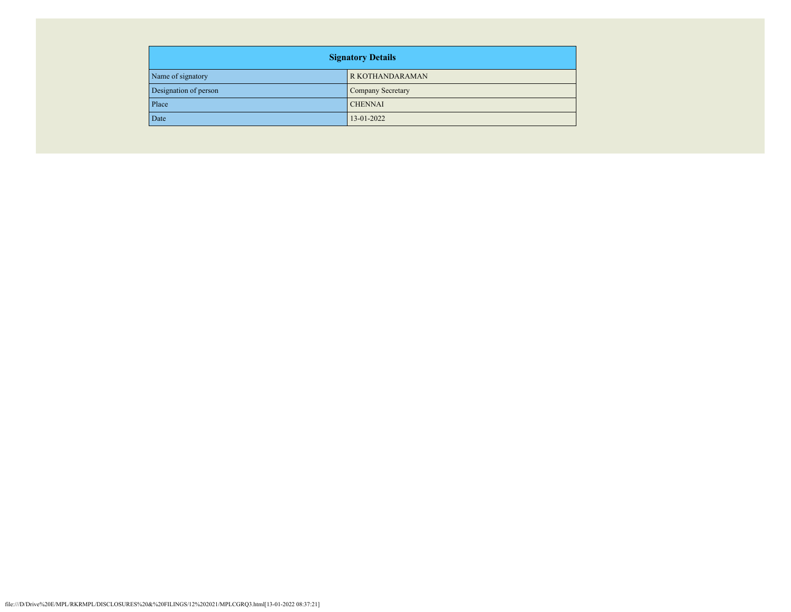| <b>Signatory Details</b> |                   |  |
|--------------------------|-------------------|--|
| Name of signatory        | R KOTHANDARAMAN   |  |
| Designation of person    | Company Secretary |  |
| Place                    | <b>CHENNAI</b>    |  |
| Date                     | 13-01-2022        |  |